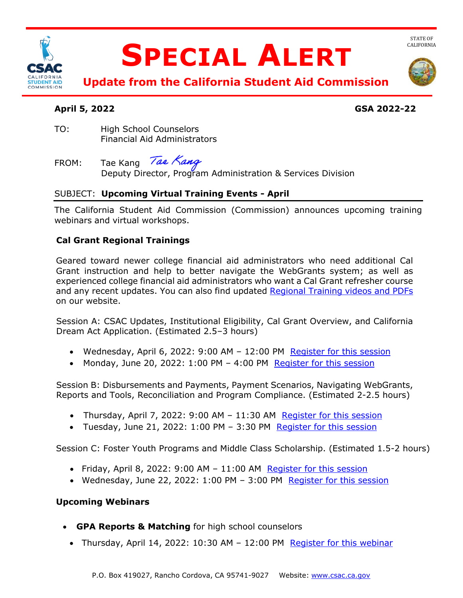

# **SPECIAL ALERT**



 **Update from the California Student Aid Commission** 

# **April 5, 2022 GSA 2022-22**

 Financial Aid Administrators TO: High School Counselors

FROM: Deputy Director, Program Administration & Services Division Tae Kang Tae Kang

# SUBJECT: **Upcoming Virtual Training Events - April**

 The California Student Aid Commission (Commission) announces upcoming training webinars and virtual workshops.

### **Cal Grant Regional Trainings**

and any recent updates. You can also find updated **Regional Training videos and PDFs** Geared toward newer college financial aid administrators who need additional Cal Grant instruction and help to better navigate the WebGrants system; as well as experienced college financial aid administrators who want a Cal Grant refresher course on our website.

Session A: CSAC Updates, Institutional Eligibility, Cal Grant Overview, and California Dream Act Application. (Estimated 2.5–3 hours)

- Wednesday, April 6, 2022: 9:00 AM 12:00 PM Register for this session
- Monday, June 20, 2022:  $1:00$  PM  $-$  4:00 PM Register for this session

Session B: Disbursements and Payments, Payment Scenarios, Navigating WebGrants, Reports and Tools, Reconciliation and Program Compliance. (Estimated 2-2.5 hours)

- Thursday, April 7, 2022: 9:00 AM 11:30 AM Register for this session
- Tuesday, June 21, 2022: 1:00 PM 3:30 PM Register for this session

Session C: Foster Youth Programs and Middle Class Scholarship. (Estimated 1.5-2 hours)

- Friday, April 8, 2022: 9:00 AM 11:00 AM Register for this session
- Wednesday, June 22, 2022: 1:00 PM 3:00 PM [Register for this session](https://csac-ca-gov.zoom.us/webinar/register/WN_Aq2PZHU3QQ6KVAKps-jFZg)

#### **Upcoming Webinars**

- **GPA Reports & Matching** for high school counselors
	- Thursday, April 14, 2022: 10:30 AM 12:00 PM Register for this webinar